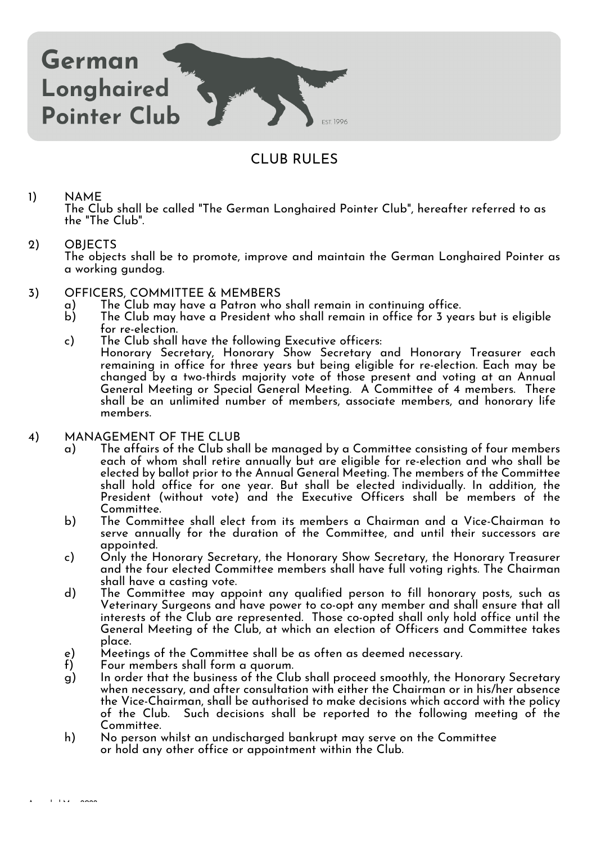

# CLUB RULES

# 1) NAME

The Club shall be called "The German Longhaired Pointer Club", hereafter referred to as the "The Club".

# 2) OBJECTS

The objects shall be to promote, improve and maintain the German Longhaired Pointer as a working gundog.

# 3) OFFICERS, COMMITTEE & MEMBERS<br>a) The Club may have a Patron who

- a) The Club may have a Patron who shall remain in continuing office.
- The Club may have a President who shall remain in office for 3 years but is eligible for re-election.
- c) The Club shall have the following Executive officers:
	- Honorary Secretary, Honorary Show Secretary and Honorary Treasurer each remaining in office for three years but being eligible for re-election. Each may be changed by a two-thirds majority vote of those present and voting at an Annual General Meeting or Special General Meeting. A Committee of 4 members. There shall be an unlimited number of members, associate members, and honorary life members.

# 4) MANAGEMENT OF THE CLUB

- a) The affairs of the Club shall be managed by a Committee consisting of four members each of whom shall retire annually but are eligible for re-election and who shall be elected by ballot prior to the Annual General Meeting. The members of the Committee shall hold office for one year. But shall be elected individually. In addition, the President (without vote) and the Executive Officers shall be members of the Committee.
- b) The Committee shall elect from its members a Chairman and a Vice-Chairman to serve annually for the duration of the Committee, and until their successors are appointed.
- c) Only the Honorary Secretary, the Honorary Show Secretary, the Honorary Treasurer and the four elected Committee members shall have full voting rights. The Chairman shall have a casting vote.
- d) The Committee may appoint any qualified person to fill honorary posts, such as Veterinary Surgeons and have power to co-opt any member and shall ensure that all interests of the Club are represented. Those co-opted shall only hold office until the General Meeting of the Club, at which an election of Officers and Committee takes place.
- e) Meetings of the Committee shall be as often as deemed necessary.<br>f) Four members shall form a auorum.
- Four members shall form a quorum.
- g) In order that the business of the Club shall proceed smoothly, the Honorary Secretary when necessary, and after consultation with either the Chairman or in his/her absence the Vice-Chairman, shall be authorised to make decisions which accord with the policy of the Club. Such decisions shall be reported to the following meeting of the Committee.
- h) No person whilst an undischarged bankrupt may serve on the Committee or hold any other office or appointment within the Club.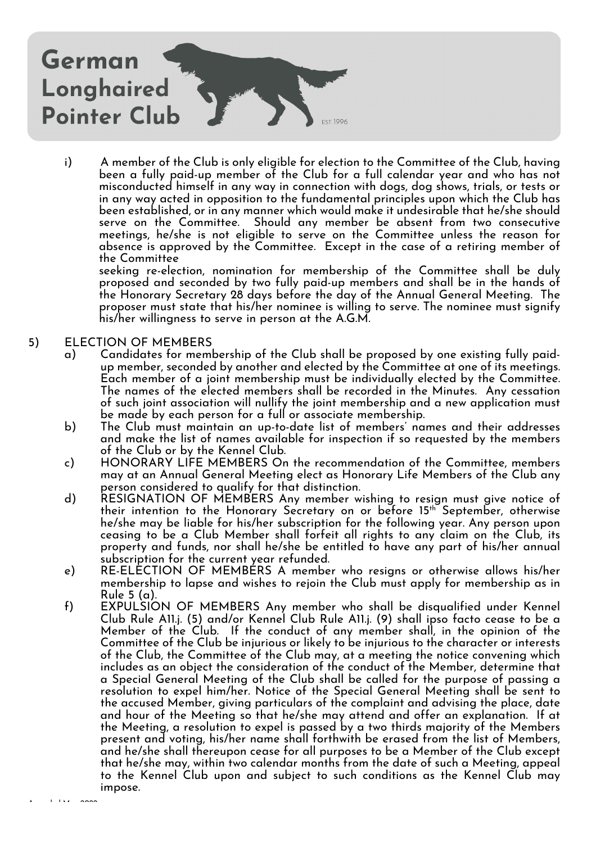

i) A member of the Club is only eligible for election to the Committee of the Club, having been a fully paid-up member of the Club for a full calendar year and who has not misconducted himself in any way in connection with dogs, dog shows, trials, or tests or in any way acted in opposition to the fundamental principles upon which the Club has been established, or in any manner which would make it undesirable that he/she should serve on the Committee. Should any member be absent from two consecutive meetings, he/she is not eligible to serve on the Committee unless the reason for absence is approved by the Committee. Except in the case of a retiring member of the Committee

seeking re-election, nomination for membership of the Committee shall be duly proposed and seconded by two fully paid-up members and shall be in the hands of the Honorary Secretary 28 days before the day of the Annual General Meeting. The proposer must state that his/her nominee is willing to serve. The nominee must signify his/her willingness to serve in person at the A.G.M.

# 5) ELECTION OF MEMBERS

- a) Candidates for membership of the Club shall be proposed by one existing fully paidup member, seconded by another and elected by the Committee at one of its meetings. Each member of a joint membership must be individually elected by the Committee. The names of the elected members shall be recorded in the Minutes. Any cessation of such joint association will nullify the joint membership and a new application must be made by each person for a full or associate membership.
- b) The Club must maintain an up-to-date list of members' names and their addresses and make the list of names available for inspection if so requested by the members of the Club or by the Kennel Club.
- c) HONORARY LIFE MEMBERS On the recommendation of the Committee, members may at an Annual General Meeting elect as Honorary Life Members of the Club any person considered to qualify for that distinction.
- d) RESIGNATION OF MEMBERS Any member wishing to resign must give notice of their intention to the Honorary Secretary on or before 15<sup>th</sup> September, otherwise he/she may be liable for his/her subscription for the following year. Any person upon ceasing to be a Club Member shall forfeit all rights to any claim on the Club, its property and funds, nor shall he/she be entitled to have any part of his/her annual subscription for the current year refunded.
- e) RE-ELECTION OF MEMBERS A member who resigns or otherwise allows his/her membership to lapse and wishes to rejoin the Club must apply for membership as in Rule 5 (a).
- f) EXPULSION OF MEMBERS Any member who shall be disqualified under Kennel Club Rule A11.j. (5) and/or Kennel Club Rule A11.j. (9) shall ipso facto cease to be a Member of the Club. If the conduct of any member shall, in the opinion of the Committee of the Club be injurious or likely to be injurious to the character or interests of the Club, the Committee of the Club may, at a meeting the notice convening which includes as an object the consideration of the conduct of the Member, determine that a Special General Meeting of the Club shall be called for the purpose of passing a resolution to expel him/her. Notice of the Special General Meeting shall be sent to the accused Member, giving particulars of the complaint and advising the place, date and hour of the Meeting so that he/she may attend and offer an explanation. If at the Meeting, a resolution to expel is passed by a two thirds majority of the Members present and voting, his/her name shall forthwith be erased from the list of Members, and he/she shall thereupon cease for all purposes to be a Member of the Club except that he/she may, within two calendar months from the date of such a Meeting, appeal to the Kennel Club upon and subject to such conditions as the Kennel Club may impose.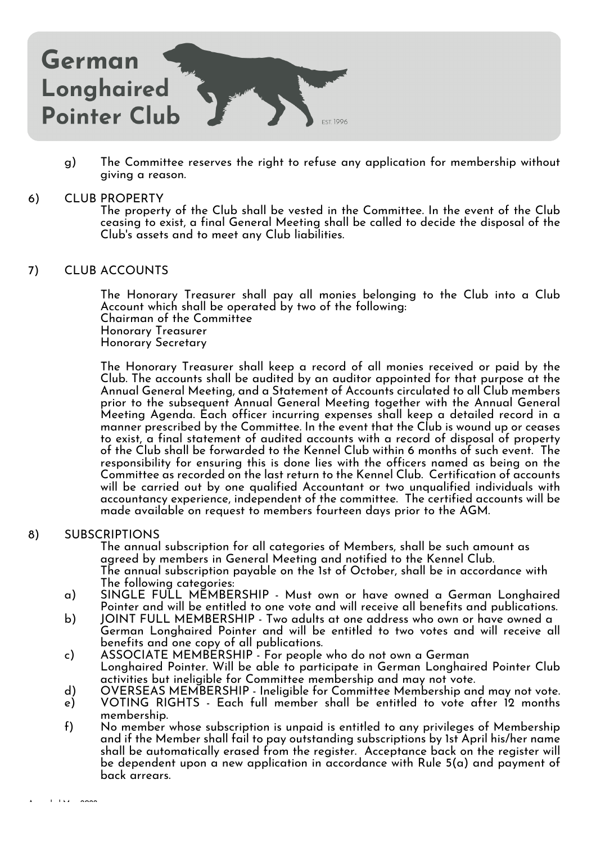

g) The Committee reserves the right to refuse any application for membership without giving a reason.

#### 6) CLUB PROPERTY

The property of the Club shall be vested in the Committee. In the event of the Club ceasing to exist, a final General Meeting shall be called to decide the disposal of the Club's assets and to meet any Club liabilities.

# 7) CLUB ACCOUNTS

The Honorary Treasurer shall pay all monies belonging to the Club into a Club Account which shall be operated by two of the following: Chairman of the Committee Honorary Treasurer Honorary Secretary

The Honorary Treasurer shall keep a record of all monies received or paid by the Club. The accounts shall be audited by an auditor appointed for that purpose at the Annual General Meeting, and a Statement of Accounts circulated to all Club members prior to the subsequent Annual General Meeting together with the Annual General Meeting Agenda. Each officer incurring expenses shall keep a detailed record in a manner prescribed by the Committee. In the event that the Club is wound up or ceases to exist, a final statement of audited accounts with a record of disposal of property of the Club shall be forwarded to the Kennel Club within 6 months of such event. The responsibility for ensuring this is done lies with the officers named as being on the Committee as recorded on the last return to the Kennel Club. Certification of accounts will be carried out by one qualified Accountant or two unqualified individuals with accountancy experience, independent of the committee. The certified accounts will be made available on request to members fourteen days prior to the AGM.

#### 8) SUBSCRIPTIONS

The annual subscription for all categories of Members, shall be such amount as agreed by members in General Meeting and notified to the Kennel Club. The annual subscription payable on the 1st of October, shall be in accordance with The following categories:

- a) SINGLE FULL MEMBERSHIP Must own or have owned a German Longhaired Pointer and will be entitled to one vote and will receive all benefits and publications.
- b) JOINT FULL MEMBERSHIP Two adults at one address who own or have owned a German Longhaired Pointer and will be entitled to two votes and will receive all benefits and one copy of all publications.
- c) ASSOCIATE MEMBERSHIP For people who do not own a German Longhaired Pointer. Will be able to participate in German Longhaired Pointer Club activities but ineligible for Committee membership and may not vote.
- d) OVERSEAS MEMBERSHIP Ineligible for Committee Membership and may not vote.
- e) VOTING RIGHTS Each full member shall be entitled to vote after 12 months membership.
- f) No member whose subscription is unpaid is entitled to any privileges of Membership and if the Member shall fail to pay outstanding subscriptions by 1st April his/her name shall be automatically erased from the register. Acceptance back on the register will be dependent upon a new application in accordance with Rule 5(a) and payment of back arrears.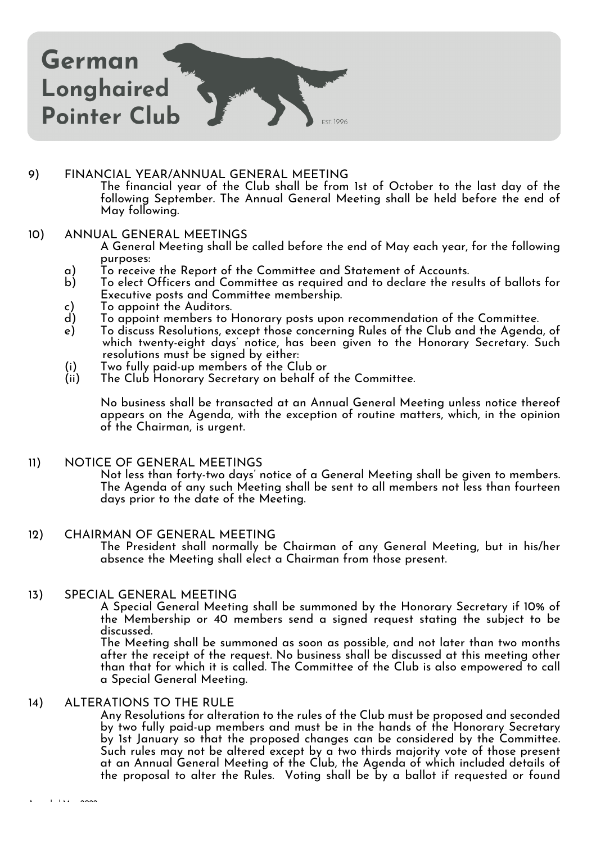

# 9) FINANCIAL YEAR/ANNUAL GENERAL MEETING

The financial year of the Club shall be from 1st of October to the last day of the following September. The Annual General Meeting shall be held before the end of May following.

#### 10) ANNUAL GENERAL MEETINGS

A General Meeting shall be called before the end of May each year, for the following purposes:

- a) To receive the Report of the Committee and Statement of Accounts.
- b) To elect Officers and Committee as required and to declare the results of ballots for Executive posts and Committee membership.
- c) To appoint the Auditors.<br>d) To appoint members to h
- To appoint members to Honorary posts upon recommendation of the Committee.
- e) To discuss Resolutions, except those concerning Rules of the Club and the Agenda, of which twenty-eight days' notice, has been given to the Honorary Secretary. Such resolutions must be signed by either:
- (i) Two fully paid-up members of the Club or
- The Club Honorary Secretary on behalf of the Committee.

No business shall be transacted at an Annual General Meeting unless notice thereof appears on the Agenda, with the exception of routine matters, which, in the opinion of the Chairman, is urgent.

#### 11) NOTICE OF GENERAL MEETINGS

Not less than forty-two days' notice of a General Meeting shall be given to members. The Agenda of any such Meeting shall be sent to all members not less than fourteen days prior to the date of the Meeting.

#### 12) CHAIRMAN OF GENERAL MEETING

The President shall normally be Chairman of any General Meeting, but in his/her absence the Meeting shall elect a Chairman from those present.

# 13) SPECIAL GENERAL MEETING

A Special General Meeting shall be summoned by the Honorary Secretary if 10% of the Membership or 40 members send a signed request stating the subject to be discussed.

The Meeting shall be summoned as soon as possible, and not later than two months after the receipt of the request. No business shall be discussed at this meeting other than that for which it is called. The Committee of the Club is also empowered to call a Special General Meeting.

#### 14) ALTERATIONS TO THE RULE

Any Resolutions for alteration to the rules of the Club must be proposed and seconded by two fully paid-up members and must be in the hands of the Honorary Secretary by 1st January so that the proposed changes can be considered by the Committee. Such rules may not be altered except by a two thirds majority vote of those present at an Annual General Meeting of the Club, the Agenda of which included details of the proposal to alter the Rules. Voting shall be by a ballot if requested or found